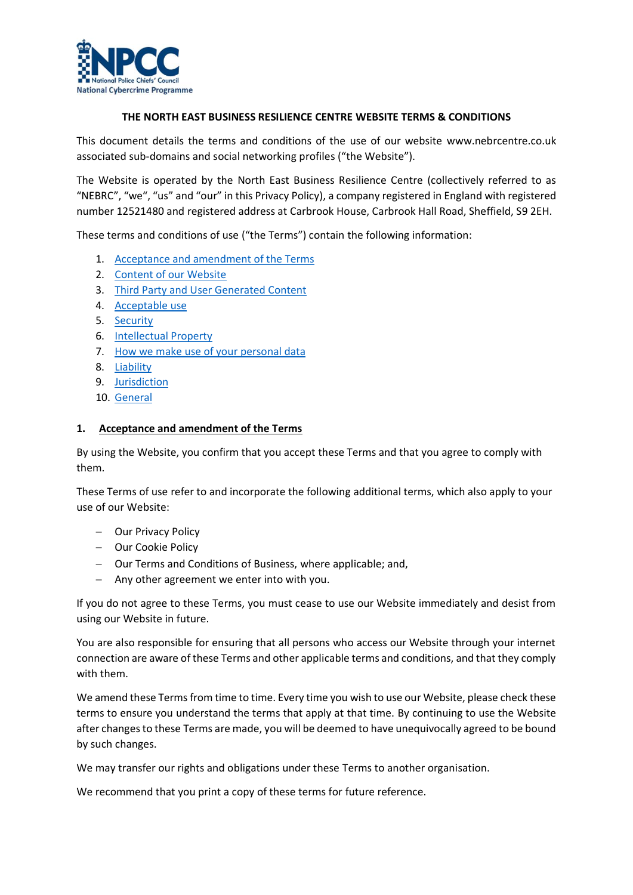

# **THE NORTH EAST BUSINESS RESILIENCE CENTRE WEBSITE TERMS & CONDITIONS**

This document details the terms and conditions of the use of our website www.nebrcentre.co.uk associated sub-domains and social networking profiles ("the Website").

The Website is operated by the North East Business Resilience Centre (collectively referred to as "NEBRC", "we", "us" and "our" in this Privacy Policy), a company registered in England with registered number 12521480 and registered address at Carbrook House, Carbrook Hall Road, Sheffield, S9 2EH.

These terms and conditions of use ("the Terms") contain the following information:

- 1. [Acceptance and amendment of the Terms](#page-0-0)
- 2. [Content of our Website](#page-1-0)
- 3. [Third Party and User Generated Content](#page-1-1)
- 4. [Acceptable use](#page-1-2)
- 5. [Security](#page-4-0)
- 6. [Intellectual Property](#page-4-1)
- 7. [How we make use of your personal data](#page-5-0)
- 8. [Liability](#page-5-1)
- 9. [Jurisdiction](#page-6-0)
- 10. [General](#page-6-1)

#### <span id="page-0-0"></span>**1. Acceptance and amendment of the Terms**

By using the Website, you confirm that you accept these Terms and that you agree to comply with them.

These Terms of use refer to and incorporate the following additional terms, which also apply to your use of our Website:

- − Our Privacy Policy
- − Our Cookie Policy
- − Our Terms and Conditions of Business, where applicable; and,
- − Any other agreement we enter into with you.

If you do not agree to these Terms, you must cease to use our Website immediately and desist from using our Website in future.

You are also responsible for ensuring that all persons who access our Website through your internet connection are aware of these Terms and other applicable terms and conditions, and that they comply with them.

We amend these Terms from time to time. Every time you wish to use our Website, please check these terms to ensure you understand the terms that apply at that time. By continuing to use the Website after changes to these Terms are made, you will be deemed to have unequivocally agreed to be bound by such changes.

We may transfer our rights and obligations under these Terms to another organisation.

We recommend that you print a copy of these terms for future reference.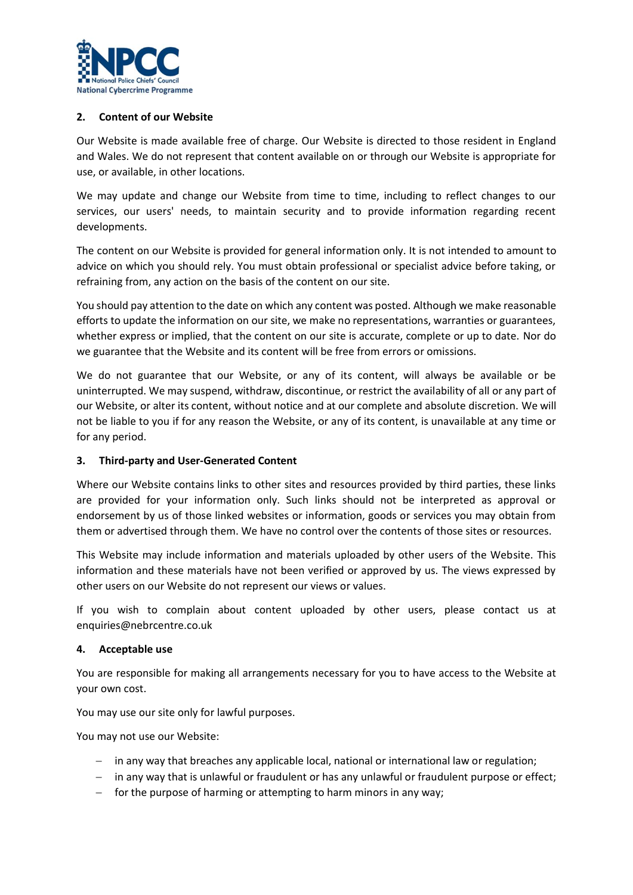

### <span id="page-1-0"></span>**2. Content of our Website**

Our Website is made available free of charge. Our Website is directed to those resident in England and Wales. We do not represent that content available on or through our Website is appropriate for use, or available, in other locations.

We may update and change our Website from time to time, including to reflect changes to our services, our users' needs, to maintain security and to provide information regarding recent developments.

The content on our Website is provided for general information only. It is not intended to amount to advice on which you should rely. You must obtain professional or specialist advice before taking, or refraining from, any action on the basis of the content on our site.

You should pay attention to the date on which any content was posted. Although we make reasonable efforts to update the information on our site, we make no representations, warranties or guarantees, whether express or implied, that the content on our site is accurate, complete or up to date. Nor do we guarantee that the Website and its content will be free from errors or omissions.

We do not guarantee that our Website, or any of its content, will always be available or be uninterrupted. We may suspend, withdraw, discontinue, or restrict the availability of all or any part of our Website, or alter its content, without notice and at our complete and absolute discretion. We will not be liable to you if for any reason the Website, or any of its content, is unavailable at any time or for any period.

#### <span id="page-1-1"></span>**3. Third-party and User-Generated Content**

Where our Website contains links to other sites and resources provided by third parties, these links are provided for your information only. Such links should not be interpreted as approval or endorsement by us of those linked websites or information, goods or services you may obtain from them or advertised through them. We have no control over the contents of those sites or resources.

This Website may include information and materials uploaded by other users of the Website. This information and these materials have not been verified or approved by us. The views expressed by other users on our Website do not represent our views or values.

If you wish to complain about content uploaded by other users, please contact us at enquiries@nebrcentre.co.uk

#### <span id="page-1-2"></span>**4. Acceptable use**

You are responsible for making all arrangements necessary for you to have access to the Website at your own cost.

You may use our site only for lawful purposes.

You may not use our Website:

- − in any way that breaches any applicable local, national or international law or regulation;
- − in any way that is unlawful or fraudulent or has any unlawful or fraudulent purpose or effect;
- − for the purpose of harming or attempting to harm minors in any way;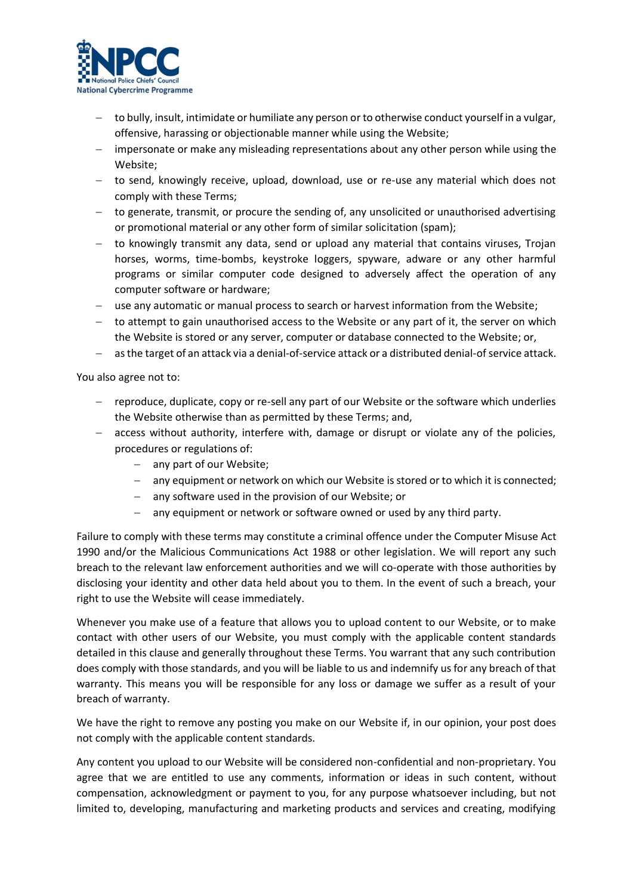

- − to bully, insult, intimidate or humiliate any person or to otherwise conduct yourself in a vulgar, offensive, harassing or objectionable manner while using the Website;
- − impersonate or make any misleading representations about any other person while using the Website;
- − to send, knowingly receive, upload, download, use or re-use any material which does not comply with these Terms;
- − to generate, transmit, or procure the sending of, any unsolicited or unauthorised advertising or promotional material or any other form of similar solicitation (spam);
- − to knowingly transmit any data, send or upload any material that contains viruses, Trojan horses, worms, time-bombs, keystroke loggers, spyware, adware or any other harmful programs or similar computer code designed to adversely affect the operation of any computer software or hardware;
- − use any automatic or manual process to search or harvest information from the Website;
- − to attempt to gain unauthorised access to the Website or any part of it, the server on which the Website is stored or any server, computer or database connected to the Website; or,
- − as the target of an attack via a denial-of-service attack or a distributed denial-of service attack.

You also agree not to:

- − reproduce, duplicate, copy or re-sell any part of our Website or the software which underlies the Website otherwise than as permitted by these Terms; and,
- − access without authority, interfere with, damage or disrupt or violate any of the policies, procedures or regulations of:
	- − any part of our Website;
	- − any equipment or network on which our Website is stored or to which it is connected;
	- − any software used in the provision of our Website; or
	- any equipment or network or software owned or used by any third party.

Failure to comply with these terms may constitute a criminal offence under the Computer Misuse Act 1990 and/or the Malicious Communications Act 1988 or other legislation. We will report any such breach to the relevant law enforcement authorities and we will co-operate with those authorities by disclosing your identity and other data held about you to them. In the event of such a breach, your right to use the Website will cease immediately.

Whenever you make use of a feature that allows you to upload content to our Website, or to make contact with other users of our Website, you must comply with the applicable content standards detailed in this clause and generally throughout these Terms. You warrant that any such contribution does comply with those standards, and you will be liable to us and indemnify us for any breach of that warranty. This means you will be responsible for any loss or damage we suffer as a result of your breach of warranty.

We have the right to remove any posting you make on our Website if, in our opinion, your post does not comply with the applicable content standards.

Any content you upload to our Website will be considered non-confidential and non-proprietary. You agree that we are entitled to use any comments, information or ideas in such content, without compensation, acknowledgment or payment to you, for any purpose whatsoever including, but not limited to, developing, manufacturing and marketing products and services and creating, modifying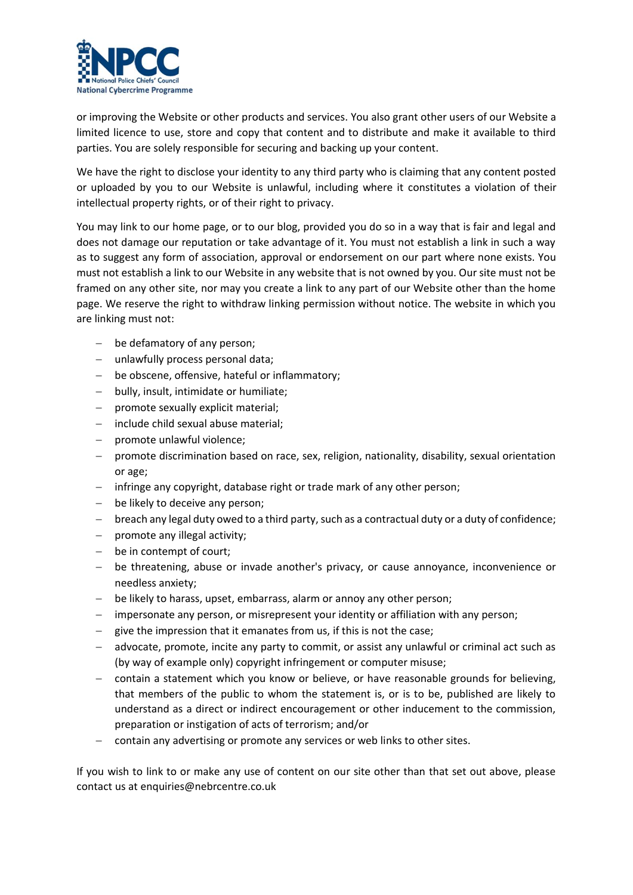

or improving the Website or other products and services. You also grant other users of our Website a limited licence to use, store and copy that content and to distribute and make it available to third parties. You are solely responsible for securing and backing up your content.

We have the right to disclose your identity to any third party who is claiming that any content posted or uploaded by you to our Website is unlawful, including where it constitutes a violation of their intellectual property rights, or of their right to privacy.

You may link to our home page, or to our blog, provided you do so in a way that is fair and legal and does not damage our reputation or take advantage of it. You must not establish a link in such a way as to suggest any form of association, approval or endorsement on our part where none exists. You must not establish a link to our Website in any website that is not owned by you. Our site must not be framed on any other site, nor may you create a link to any part of our Website other than the home page. We reserve the right to withdraw linking permission without notice. The website in which you are linking must not:

- − be defamatory of any person;
- − unlawfully process personal data;
- − be obscene, offensive, hateful or inflammatory;
- − bully, insult, intimidate or humiliate;
- − promote sexually explicit material;
- − include child sexual abuse material;
- − promote unlawful violence;
- − promote discrimination based on race, sex, religion, nationality, disability, sexual orientation or age;
- − infringe any copyright, database right or trade mark of any other person;
- − be likely to deceive any person;
- − breach any legal duty owed to a third party, such as a contractual duty or a duty of confidence;
- − promote any illegal activity;
- − be in contempt of court;
- − be threatening, abuse or invade another's privacy, or cause annoyance, inconvenience or needless anxiety;
- − be likely to harass, upset, embarrass, alarm or annoy any other person;
- − impersonate any person, or misrepresent your identity or affiliation with any person;
- − give the impression that it emanates from us, if this is not the case;
- − advocate, promote, incite any party to commit, or assist any unlawful or criminal act such as (by way of example only) copyright infringement or computer misuse;
- − contain a statement which you know or believe, or have reasonable grounds for believing, that members of the public to whom the statement is, or is to be, published are likely to understand as a direct or indirect encouragement or other inducement to the commission, preparation or instigation of acts of terrorism; and/or
- − contain any advertising or promote any services or web links to other sites.

If you wish to link to or make any use of content on our site other than that set out above, please contact us at enquiries@nebrcentre.co.uk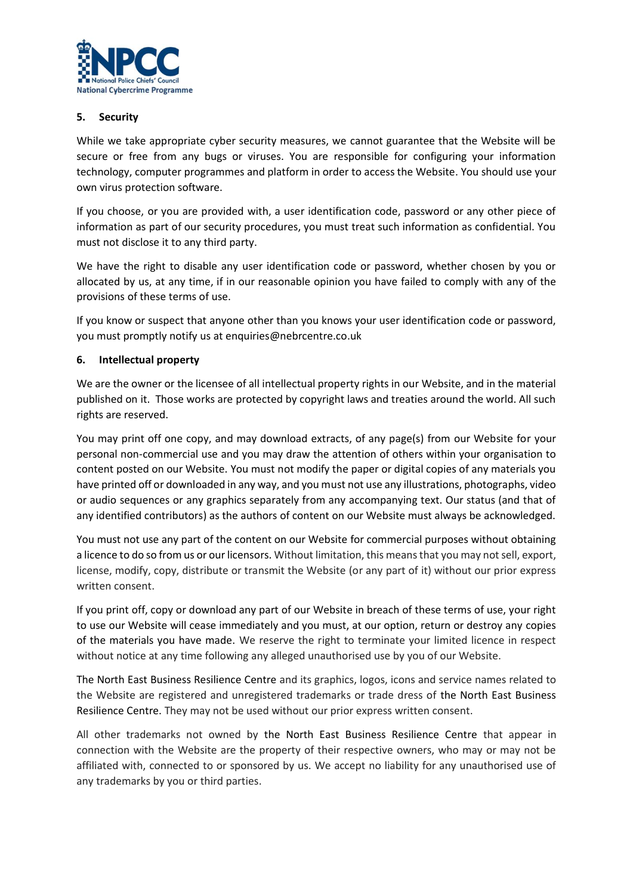

# <span id="page-4-0"></span>**5. Security**

While we take appropriate cyber security measures, we cannot guarantee that the Website will be secure or free from any bugs or viruses. You are responsible for configuring your information technology, computer programmes and platform in order to access the Website. You should use your own virus protection software.

If you choose, or you are provided with, a user identification code, password or any other piece of information as part of our security procedures, you must treat such information as confidential. You must not disclose it to any third party.

We have the right to disable any user identification code or password, whether chosen by you or allocated by us, at any time, if in our reasonable opinion you have failed to comply with any of the provisions of these terms of use.

If you know or suspect that anyone other than you knows your user identification code or password, you must promptly notify us at enquiries@nebrcentre.co.uk

### <span id="page-4-1"></span>**6. Intellectual property**

We are the owner or the licensee of all intellectual property rights in our Website, and in the material published on it. Those works are protected by copyright laws and treaties around the world. All such rights are reserved.

You may print off one copy, and may download extracts, of any page(s) from our Website for your personal non-commercial use and you may draw the attention of others within your organisation to content posted on our Website. You must not modify the paper or digital copies of any materials you have printed off or downloaded in any way, and you must not use any illustrations, photographs, video or audio sequences or any graphics separately from any accompanying text. Our status (and that of any identified contributors) as the authors of content on our Website must always be acknowledged.

You must not use any part of the content on our Website for commercial purposes without obtaining a licence to do so from us or our licensors. Without limitation, this means that you may not sell, export, license, modify, copy, distribute or transmit the Website (or any part of it) without our prior express written consent.

If you print off, copy or download any part of our Website in breach of these terms of use, your right to use our Website will cease immediately and you must, at our option, return or destroy any copies of the materials you have made. We reserve the right to terminate your limited licence in respect without notice at any time following any alleged unauthorised use by you of our Website.

The North East Business Resilience Centre and its graphics, logos, icons and service names related to the Website are registered and unregistered trademarks or trade dress of the North East Business Resilience Centre. They may not be used without our prior express written consent.

All other trademarks not owned by the North East Business Resilience Centre that appear in connection with the Website are the property of their respective owners, who may or may not be affiliated with, connected to or sponsored by us. We accept no liability for any unauthorised use of any trademarks by you or third parties.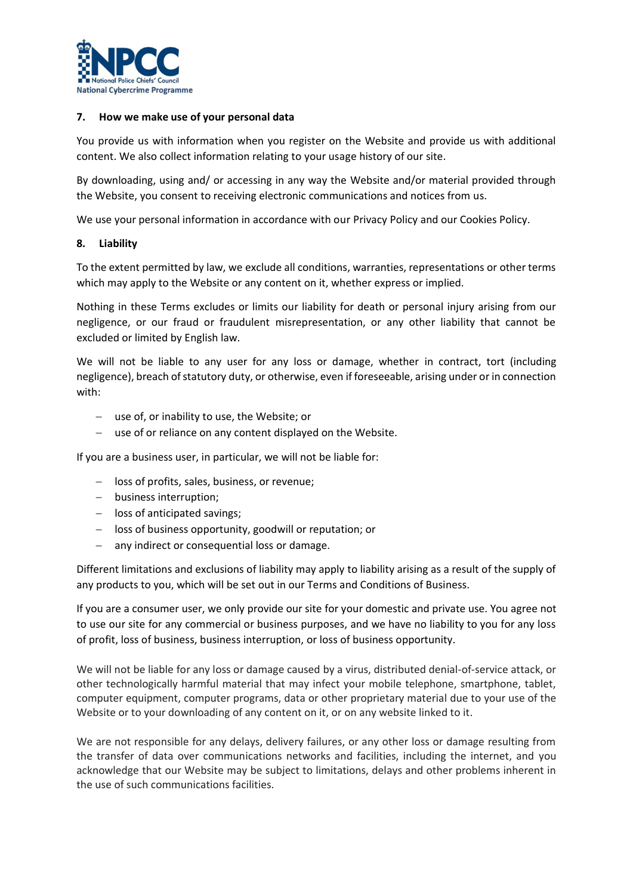

#### <span id="page-5-0"></span>**7. How we make use of your personal data**

You provide us with information when you register on the Website and provide us with additional content. We also collect information relating to your usage history of our site.

By downloading, using and/ or accessing in any way the Website and/or material provided through the Website, you consent to receiving electronic communications and notices from us.

We use your personal information in accordance with our Privacy Policy and our Cookies Policy.

### <span id="page-5-1"></span>**8. Liability**

To the extent permitted by law, we exclude all conditions, warranties, representations or other terms which may apply to the Website or any content on it, whether express or implied.

Nothing in these Terms excludes or limits our liability for death or personal injury arising from our negligence, or our fraud or fraudulent misrepresentation, or any other liability that cannot be excluded or limited by English law.

We will not be liable to any user for any loss or damage, whether in contract, tort (including negligence), breach of statutory duty, or otherwise, even if foreseeable, arising under or in connection with:

- − use of, or inability to use, the Website; or
- − use of or reliance on any content displayed on the Website.

If you are a business user, in particular, we will not be liable for:

- − loss of profits, sales, business, or revenue;
- − business interruption;
- − loss of anticipated savings;
- − loss of business opportunity, goodwill or reputation; or
- − any indirect or consequential loss or damage.

Different limitations and exclusions of liability may apply to liability arising as a result of the supply of any products to you, which will be set out in our Terms and Conditions of Business.

If you are a consumer user, we only provide our site for your domestic and private use. You agree not to use our site for any commercial or business purposes, and we have no liability to you for any loss of profit, loss of business, business interruption, or loss of business opportunity.

We will not be liable for any loss or damage caused by a virus, distributed denial-of-service attack, or other technologically harmful material that may infect your mobile telephone, smartphone, tablet, computer equipment, computer programs, data or other proprietary material due to your use of the Website or to your downloading of any content on it, or on any website linked to it.

We are not responsible for any delays, delivery failures, or any other loss or damage resulting from the transfer of data over communications networks and facilities, including the internet, and you acknowledge that our Website may be subject to limitations, delays and other problems inherent in the use of such communications facilities.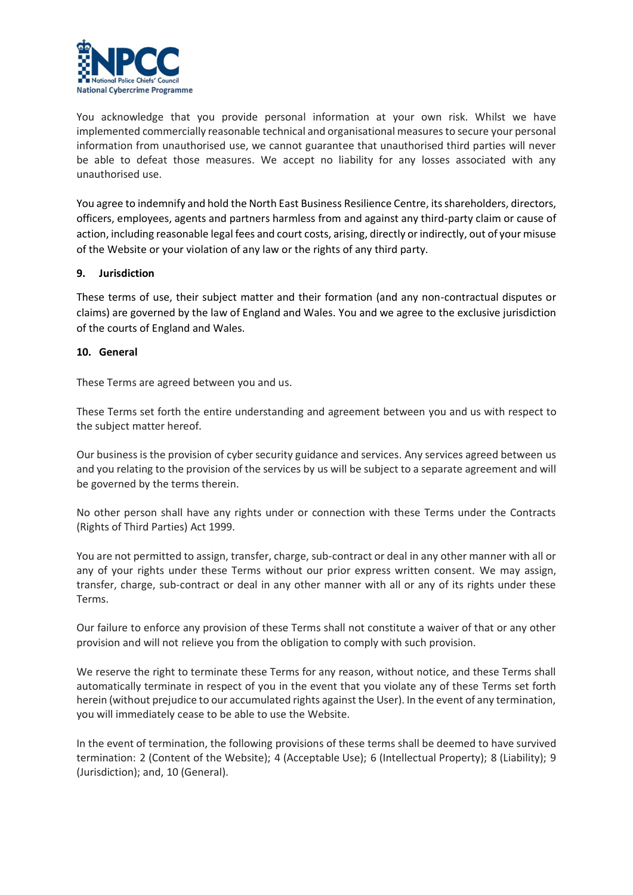

You acknowledge that you provide personal information at your own risk. Whilst we have implemented commercially reasonable technical and organisational measures to secure your personal information from unauthorised use, we cannot guarantee that unauthorised third parties will never be able to defeat those measures. We accept no liability for any losses associated with any unauthorised use.

You agree to indemnify and hold the North East Business Resilience Centre, its shareholders, directors, officers, employees, agents and partners harmless from and against any third-party claim or cause of action, including reasonable legal fees and court costs, arising, directly or indirectly, out of your misuse of the Website or your violation of any law or the rights of any third party.

### <span id="page-6-0"></span>**9. Jurisdiction**

These terms of use, their subject matter and their formation (and any non-contractual disputes or claims) are governed by the law of England and Wales. You and we agree to the exclusive jurisdiction of the courts of England and Wales.

### <span id="page-6-1"></span>**10. General**

These Terms are agreed between you and us.

These Terms set forth the entire understanding and agreement between you and us with respect to the subject matter hereof.

Our business is the provision of cyber security guidance and services. Any services agreed between us and you relating to the provision of the services by us will be subject to a separate agreement and will be governed by the terms therein.

No other person shall have any rights under or connection with these Terms under the Contracts (Rights of Third Parties) Act 1999.

You are not permitted to assign, transfer, charge, sub-contract or deal in any other manner with all or any of your rights under these Terms without our prior express written consent. We may assign, transfer, charge, sub-contract or deal in any other manner with all or any of its rights under these Terms.

Our failure to enforce any provision of these Terms shall not constitute a waiver of that or any other provision and will not relieve you from the obligation to comply with such provision.

We reserve the right to terminate these Terms for any reason, without notice, and these Terms shall automatically terminate in respect of you in the event that you violate any of these Terms set forth herein (without prejudice to our accumulated rights against the User). In the event of any termination, you will immediately cease to be able to use the Website.

In the event of termination, the following provisions of these terms shall be deemed to have survived termination: 2 (Content of the Website); 4 (Acceptable Use); 6 (Intellectual Property); 8 (Liability); 9 (Jurisdiction); and, 10 (General).